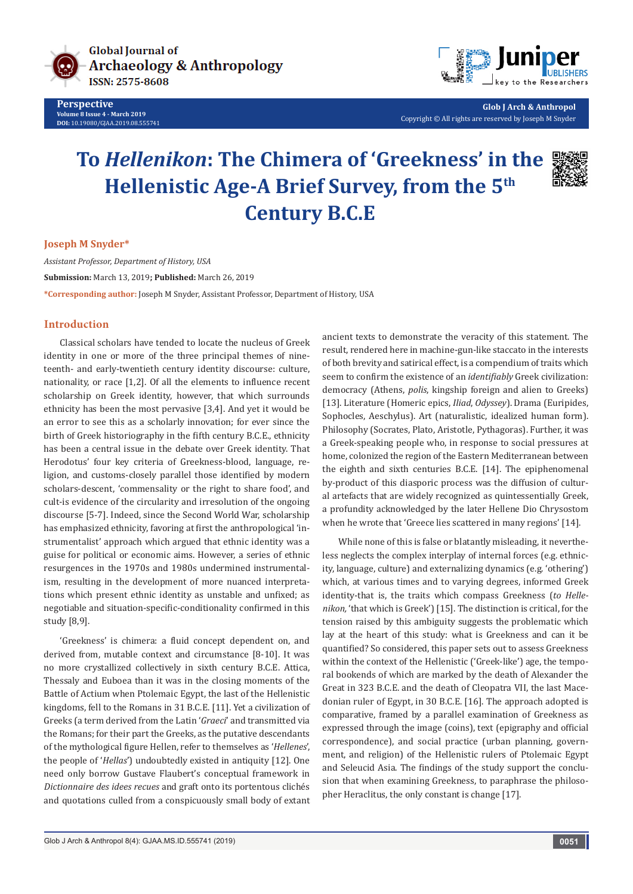

**Perspective Volume 8 Issue 4 - March 2019 DOI:** [10.19080/GJAA.2019.08.555741](http://dx.doi.org/10.19080/GJAA.2019.08.555741)



**Glob J Arch & Anthropol** Copyright © All rights are reserved by Joseph M Snyder

# **To** *Hellenikon***: The Chimera of 'Greekness' in the Hellenistic Age-A Brief Survey, from the 5th Century B.C.E**

#### **Joseph M Snyder\***

*Assistant Professor, Department of History, USA* **Submission:** March 13, 2019**; Published:** March 26, 2019 **\*Corresponding author:** Joseph M Snyder, Assistant Professor, Department of History, USA

## **Introduction**

Classical scholars have tended to locate the nucleus of Greek identity in one or more of the three principal themes of nineteenth- and early-twentieth century identity discourse: culture, nationality, or race [1,2]. Of all the elements to influence recent scholarship on Greek identity, however, that which surrounds ethnicity has been the most pervasive [3,4]. And yet it would be an error to see this as a scholarly innovation; for ever since the birth of Greek historiography in the fifth century B.C.E., ethnicity has been a central issue in the debate over Greek identity. That Herodotus' four key criteria of Greekness-blood, language, religion, and customs-closely parallel those identified by modern scholars-descent, 'commensality or the right to share food', and cult-is evidence of the circularity and irresolution of the ongoing discourse [5-7]. Indeed, since the Second World War, scholarship has emphasized ethnicity, favoring at first the anthropological 'instrumentalist' approach which argued that ethnic identity was a guise for political or economic aims. However, a series of ethnic resurgences in the 1970s and 1980s undermined instrumentalism, resulting in the development of more nuanced interpretations which present ethnic identity as unstable and unfixed; as negotiable and situation-specific-conditionality confirmed in this study [8,9].

'Greekness' is chimera: a fluid concept dependent on, and derived from, mutable context and circumstance [8-10]. It was no more crystallized collectively in sixth century B.C.E. Attica, Thessaly and Euboea than it was in the closing moments of the Battle of Actium when Ptolemaic Egypt, the last of the Hellenistic kingdoms, fell to the Romans in 31 B.C.E. [11]. Yet a civilization of Greeks (a term derived from the Latin '*Graeci*' and transmitted via the Romans; for their part the Greeks, as the putative descendants of the mythological figure Hellen, refer to themselves as '*Hellenes*', the people of '*Hellas*') undoubtedly existed in antiquity [12]. One need only borrow Gustave Flaubert's conceptual framework in *Dictionnaire des idees recues* and graft onto its portentous clichés and quotations culled from a conspicuously small body of extant

ancient texts to demonstrate the veracity of this statement. The result, rendered here in machine-gun-like staccato in the interests of both brevity and satirical effect, is a compendium of traits which seem to confirm the existence of an *identifiably* Greek civilization: democracy (Athens, *polis*, kingship foreign and alien to Greeks) [13]. Literature (Homeric epics, *Iliad*, *Odyssey*). Drama (Euripides, Sophocles, Aeschylus). Art (naturalistic, idealized human form). Philosophy (Socrates, Plato, Aristotle, Pythagoras). Further, it was a Greek-speaking people who, in response to social pressures at home, colonized the region of the Eastern Mediterranean between the eighth and sixth centuries B.C.E. [14]. The epiphenomenal by-product of this diasporic process was the diffusion of cultural artefacts that are widely recognized as quintessentially Greek, a profundity acknowledged by the later Hellene Dio Chrysostom when he wrote that 'Greece lies scattered in many regions' [14].

While none of this is false or blatantly misleading, it nevertheless neglects the complex interplay of internal forces (e.g. ethnicity, language, culture) and externalizing dynamics (e.g. 'othering') which, at various times and to varying degrees, informed Greek identity-that is, the traits which compass Greekness (*to Hellenikon,* 'that which is Greek') [15]. The distinction is critical, for the tension raised by this ambiguity suggests the problematic which lay at the heart of this study: what is Greekness and can it be quantified? So considered, this paper sets out to assess Greekness within the context of the Hellenistic ('Greek-like') age, the temporal bookends of which are marked by the death of Alexander the Great in 323 B.C.E. and the death of Cleopatra VII, the last Macedonian ruler of Egypt, in 30 B.C.E. [16]. The approach adopted is comparative, framed by a parallel examination of Greekness as expressed through the image (coins), text (epigraphy and official correspondence), and social practice (urban planning, government, and religion) of the Hellenistic rulers of Ptolemaic Egypt and Seleucid Asia. The findings of the study support the conclusion that when examining Greekness, to paraphrase the philosopher Heraclitus, the only constant is change [17].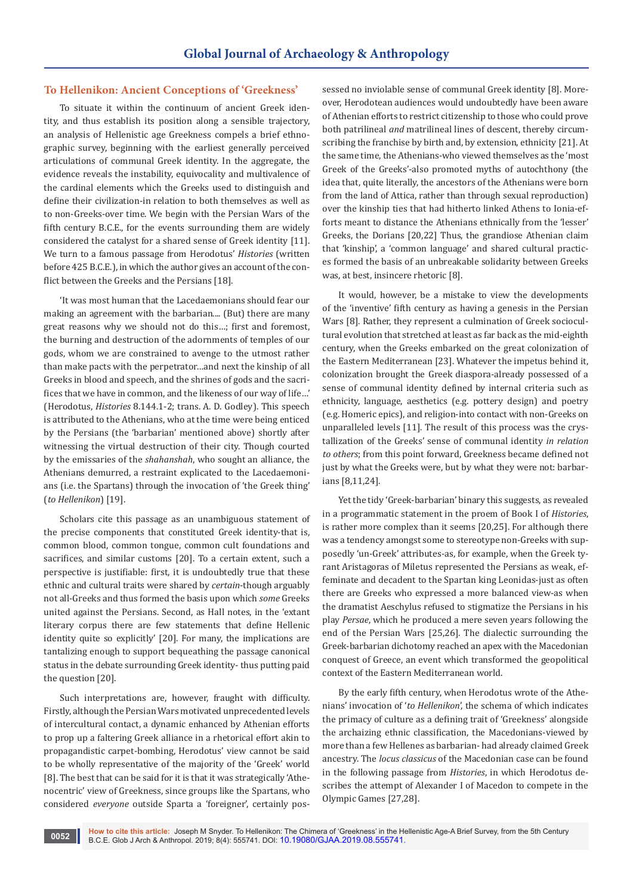# **To Hellenikon: Ancient Conceptions of 'Greekness'**

To situate it within the continuum of ancient Greek identity, and thus establish its position along a sensible trajectory, an analysis of Hellenistic age Greekness compels a brief ethnographic survey, beginning with the earliest generally perceived articulations of communal Greek identity. In the aggregate, the evidence reveals the instability, equivocality and multivalence of the cardinal elements which the Greeks used to distinguish and define their civilization-in relation to both themselves as well as to non-Greeks-over time. We begin with the Persian Wars of the fifth century B.C.E., for the events surrounding them are widely considered the catalyst for a shared sense of Greek identity [11]. We turn to a famous passage from Herodotus' *Histories* (written before 425 B.C.E.), in which the author gives an account of the conflict between the Greeks and the Persians [18].

'It was most human that the Lacedaemonians should fear our making an agreement with the barbarian.... (But) there are many great reasons why we should not do this…; first and foremost, the burning and destruction of the adornments of temples of our gods, whom we are constrained to avenge to the utmost rather than make pacts with the perpetrator…and next the kinship of all Greeks in blood and speech, and the shrines of gods and the sacrifices that we have in common, and the likeness of our way of life…' (Herodotus, *Histories* 8.144.1-2; trans. A. D. Godley). This speech is attributed to the Athenians, who at the time were being enticed by the Persians (the 'barbarian' mentioned above) shortly after witnessing the virtual destruction of their city. Though courted by the emissaries of the *shahanshah*, who sought an alliance, the Athenians demurred, a restraint explicated to the Lacedaemonians (i.e. the Spartans) through the invocation of 'the Greek thing' (*to Hellenikon*) [19].

Scholars cite this passage as an unambiguous statement of the precise components that constituted Greek identity-that is, common blood, common tongue, common cult foundations and sacrifices, and similar customs [20]. To a certain extent, such a perspective is justifiable: first, it is undoubtedly true that these ethnic and cultural traits were shared by *certain*-though arguably not all-Greeks and thus formed the basis upon which *some* Greeks united against the Persians. Second, as Hall notes, in the 'extant literary corpus there are few statements that define Hellenic identity quite so explicitly' [20]. For many, the implications are tantalizing enough to support bequeathing the passage canonical status in the debate surrounding Greek identity- thus putting paid the question [20].

Such interpretations are, however, fraught with difficulty. Firstly, although the Persian Wars motivated unprecedented levels of intercultural contact, a dynamic enhanced by Athenian efforts to prop up a faltering Greek alliance in a rhetorical effort akin to propagandistic carpet-bombing, Herodotus' view cannot be said to be wholly representative of the majority of the 'Greek' world [8]. The best that can be said for it is that it was strategically 'Athenocentric' view of Greekness, since groups like the Spartans, who considered *everyone* outside Sparta a 'foreigner', certainly possessed no inviolable sense of communal Greek identity [8]. Moreover, Herodotean audiences would undoubtedly have been aware of Athenian efforts to restrict citizenship to those who could prove both patrilineal *and* matrilineal lines of descent, thereby circumscribing the franchise by birth and, by extension, ethnicity [21]. At the same time, the Athenians-who viewed themselves as the 'most Greek of the Greeks'-also promoted myths of autochthony (the idea that, quite literally, the ancestors of the Athenians were born from the land of Attica, rather than through sexual reproduction) over the kinship ties that had hitherto linked Athens to Ionia-efforts meant to distance the Athenians ethnically from the 'lesser' Greeks, the Dorians [20,22] Thus, the grandiose Athenian claim that 'kinship', a 'common language' and shared cultural practices formed the basis of an unbreakable solidarity between Greeks was, at best, insincere rhetoric [8].

It would, however, be a mistake to view the developments of the 'inventive' fifth century as having a genesis in the Persian Wars [8]. Rather, they represent a culmination of Greek sociocultural evolution that stretched at least as far back as the mid-eighth century, when the Greeks embarked on the great colonization of the Eastern Mediterranean [23]. Whatever the impetus behind it, colonization brought the Greek diaspora-already possessed of a sense of communal identity defined by internal criteria such as ethnicity, language, aesthetics (e.g. pottery design) and poetry (e.g. Homeric epics), and religion-into contact with non-Greeks on unparalleled levels [11]. The result of this process was the crystallization of the Greeks' sense of communal identity *in relation to others*; from this point forward, Greekness became defined not just by what the Greeks were, but by what they were not: barbarians [8,11,24].

Yet the tidy 'Greek-barbarian' binary this suggests, as revealed in a programmatic statement in the proem of Book I of *Histories*, is rather more complex than it seems [20,25]. For although there was a tendency amongst some to stereotype non-Greeks with supposedly 'un-Greek' attributes-as, for example, when the Greek tyrant Aristagoras of Miletus represented the Persians as weak, effeminate and decadent to the Spartan king Leonidas-just as often there are Greeks who expressed a more balanced view-as when the dramatist Aeschylus refused to stigmatize the Persians in his play *Persae*, which he produced a mere seven years following the end of the Persian Wars [25,26]. The dialectic surrounding the Greek-barbarian dichotomy reached an apex with the Macedonian conquest of Greece, an event which transformed the geopolitical context of the Eastern Mediterranean world.

By the early fifth century, when Herodotus wrote of the Athenians' invocation of '*to Hellenikon*', the schema of which indicates the primacy of culture as a defining trait of 'Greekness' alongside the archaizing ethnic classification, the Macedonians-viewed by more than a few Hellenes as barbarian- had already claimed Greek ancestry. The *locus classicus* of the Macedonian case can be found in the following passage from *Histories*, in which Herodotus describes the attempt of Alexander I of Macedon to compete in the Olympic Games [27,28].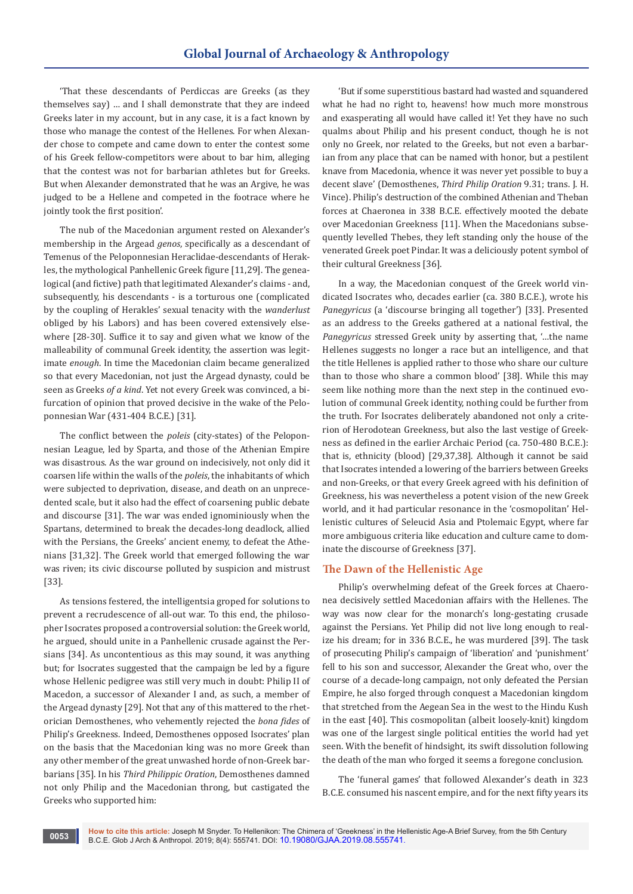'That these descendants of Perdiccas are Greeks (as they themselves say) … and I shall demonstrate that they are indeed Greeks later in my account, but in any case, it is a fact known by those who manage the contest of the Hellenes. For when Alexander chose to compete and came down to enter the contest some of his Greek fellow-competitors were about to bar him, alleging that the contest was not for barbarian athletes but for Greeks. But when Alexander demonstrated that he was an Argive, he was judged to be a Hellene and competed in the footrace where he jointly took the first position'.

The nub of the Macedonian argument rested on Alexander's membership in the Argead *genos*, specifically as a descendant of Temenus of the Peloponnesian Heraclidae-descendants of Herakles, the mythological Panhellenic Greek figure [11,29]. The genealogical (and fictive) path that legitimated Alexander's claims - and, subsequently, his descendants - is a torturous one (complicated by the coupling of Herakles' sexual tenacity with the *wanderlust* obliged by his Labors) and has been covered extensively elsewhere [28-30]. Suffice it to say and given what we know of the malleability of communal Greek identity, the assertion was legitimate *enough*. In time the Macedonian claim became generalized so that every Macedonian, not just the Argead dynasty, could be seen as Greeks *of a kind*. Yet not every Greek was convinced, a bifurcation of opinion that proved decisive in the wake of the Peloponnesian War (431-404 B.C.E.) [31].

The conflict between the *poleis* (city-states) of the Peloponnesian League, led by Sparta, and those of the Athenian Empire was disastrous. As the war ground on indecisively, not only did it coarsen life within the walls of the *poleis*, the inhabitants of which were subjected to deprivation, disease, and death on an unprecedented scale, but it also had the effect of coarsening public debate and discourse [31]. The war was ended ignominiously when the Spartans, determined to break the decades-long deadlock, allied with the Persians, the Greeks' ancient enemy, to defeat the Athenians [31,32]. The Greek world that emerged following the war was riven; its civic discourse polluted by suspicion and mistrust [33].

As tensions festered, the intelligentsia groped for solutions to prevent a recrudescence of all-out war. To this end, the philosopher Isocrates proposed a controversial solution: the Greek world, he argued, should unite in a Panhellenic crusade against the Persians [34]. As uncontentious as this may sound, it was anything but; for Isocrates suggested that the campaign be led by a figure whose Hellenic pedigree was still very much in doubt: Philip II of Macedon, a successor of Alexander I and, as such, a member of the Argead dynasty [29]. Not that any of this mattered to the rhetorician Demosthenes, who vehemently rejected the *bona fides* of Philip's Greekness. Indeed, Demosthenes opposed Isocrates' plan on the basis that the Macedonian king was no more Greek than any other member of the great unwashed horde of non-Greek barbarians [35]. In his *Third Philippic Oration*, Demosthenes damned not only Philip and the Macedonian throng, but castigated the Greeks who supported him:

**0053**

'But if some superstitious bastard had wasted and squandered what he had no right to, heavens! how much more monstrous and exasperating all would have called it! Yet they have no such qualms about Philip and his present conduct, though he is not only no Greek, nor related to the Greeks, but not even a barbarian from any place that can be named with honor, but a pestilent knave from Macedonia, whence it was never yet possible to buy a decent slave' (Demosthenes, *Third Philip Oration* 9.31; trans. J. H. Vince). Philip's destruction of the combined Athenian and Theban forces at Chaeronea in 338 B.C.E. effectively mooted the debate over Macedonian Greekness [11]. When the Macedonians subsequently levelled Thebes, they left standing only the house of the venerated Greek poet Pindar. It was a deliciously potent symbol of their cultural Greekness [36].

In a way, the Macedonian conquest of the Greek world vindicated Isocrates who, decades earlier (ca. 380 B.C.E.), wrote his *Panegyricus* (a 'discourse bringing all together') [33]. Presented as an address to the Greeks gathered at a national festival, the *Panegyricus* stressed Greek unity by asserting that, '…the name Hellenes suggests no longer a race but an intelligence, and that the title Hellenes is applied rather to those who share our culture than to those who share a common blood' [38]. While this may seem like nothing more than the next step in the continued evolution of communal Greek identity, nothing could be further from the truth. For Isocrates deliberately abandoned not only a criterion of Herodotean Greekness, but also the last vestige of Greekness as defined in the earlier Archaic Period (ca. 750-480 B.C.E.): that is, ethnicity (blood) [29,37,38]. Although it cannot be said that Isocrates intended a lowering of the barriers between Greeks and non-Greeks, or that every Greek agreed with his definition of Greekness, his was nevertheless a potent vision of the new Greek world, and it had particular resonance in the 'cosmopolitan' Hellenistic cultures of Seleucid Asia and Ptolemaic Egypt, where far more ambiguous criteria like education and culture came to dominate the discourse of Greekness [37].

## **The Dawn of the Hellenistic Age**

Philip's overwhelming defeat of the Greek forces at Chaeronea decisively settled Macedonian affairs with the Hellenes. The way was now clear for the monarch's long-gestating crusade against the Persians. Yet Philip did not live long enough to realize his dream; for in 336 B.C.E., he was murdered [39]. The task of prosecuting Philip's campaign of 'liberation' and 'punishment' fell to his son and successor, Alexander the Great who, over the course of a decade-long campaign, not only defeated the Persian Empire, he also forged through conquest a Macedonian kingdom that stretched from the Aegean Sea in the west to the Hindu Kush in the east [40]. This cosmopolitan (albeit loosely-knit) kingdom was one of the largest single political entities the world had yet seen. With the benefit of hindsight, its swift dissolution following the death of the man who forged it seems a foregone conclusion.

The 'funeral games' that followed Alexander's death in 323 B.C.E. consumed his nascent empire, and for the next fifty years its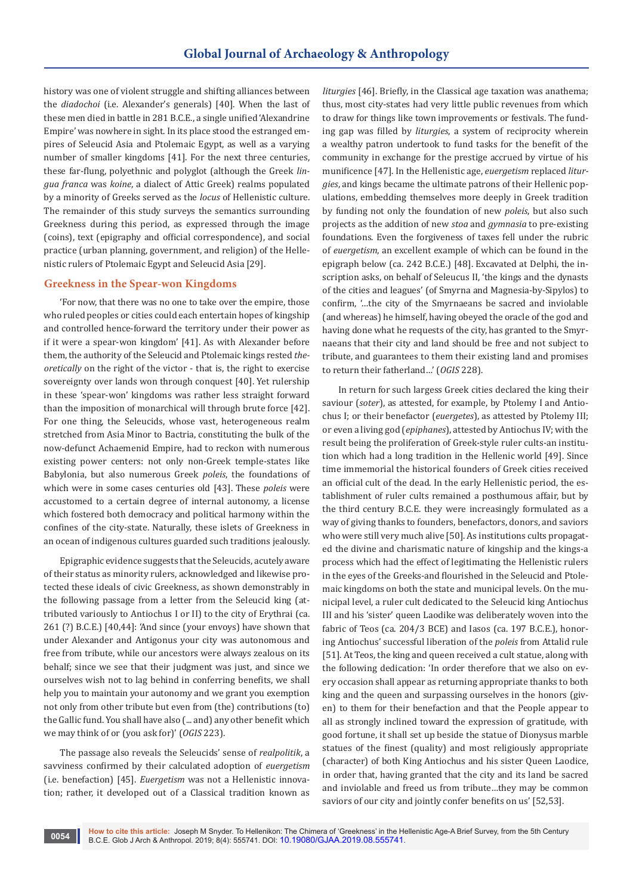history was one of violent struggle and shifting alliances between the *diadochoi* (i.e. Alexander's generals) [40]. When the last of these men died in battle in 281 B.C.E., a single unified 'Alexandrine Empire' was nowhere in sight. In its place stood the estranged empires of Seleucid Asia and Ptolemaic Egypt, as well as a varying number of smaller kingdoms [41]. For the next three centuries, these far-flung, polyethnic and polyglot (although the Greek *lingua franca* was *koine*, a dialect of Attic Greek) realms populated by a minority of Greeks served as the *locus* of Hellenistic culture. The remainder of this study surveys the semantics surrounding Greekness during this period, as expressed through the image (coins), text (epigraphy and official correspondence), and social practice (urban planning, government, and religion) of the Hellenistic rulers of Ptolemaic Egypt and Seleucid Asia [29].

#### **Greekness in the Spear-won Kingdoms**

'For now, that there was no one to take over the empire, those who ruled peoples or cities could each entertain hopes of kingship and controlled hence-forward the territory under their power as if it were a spear-won kingdom' [41]. As with Alexander before them, the authority of the Seleucid and Ptolemaic kings rested *theoretically* on the right of the victor - that is, the right to exercise sovereignty over lands won through conquest [40]. Yet rulership in these 'spear-won' kingdoms was rather less straight forward than the imposition of monarchical will through brute force [42]. For one thing, the Seleucids, whose vast, heterogeneous realm stretched from Asia Minor to Bactria, constituting the bulk of the now-defunct Achaemenid Empire, had to reckon with numerous existing power centers: not only non-Greek temple-states like Babylonia, but also numerous Greek *poleis*, the foundations of which were in some cases centuries old [43]. These *poleis* were accustomed to a certain degree of internal autonomy, a license which fostered both democracy and political harmony within the confines of the city-state. Naturally, these islets of Greekness in an ocean of indigenous cultures guarded such traditions jealously.

Epigraphic evidence suggests that the Seleucids, acutely aware of their status as minority rulers, acknowledged and likewise protected these ideals of civic Greekness, as shown demonstrably in the following passage from a letter from the Seleucid king (attributed variously to Antiochus I or II) to the city of Erythrai (ca. 261 (?) B.C.E.) [40,44]: 'And since (your envoys) have shown that under Alexander and Antigonus your city was autonomous and free from tribute, while our ancestors were always zealous on its behalf; since we see that their judgment was just, and since we ourselves wish not to lag behind in conferring benefits, we shall help you to maintain your autonomy and we grant you exemption not only from other tribute but even from (the) contributions (to) the Gallic fund. You shall have also (... and) any other benefit which we may think of or (you ask for)' (*OGIS* 223).

The passage also reveals the Seleucids' sense of *realpolitik*, a savviness confirmed by their calculated adoption of *euergetism* (i.e. benefaction) [45]. *Euergetism* was not a Hellenistic innovation; rather, it developed out of a Classical tradition known as *liturgies* [46]. Briefly, in the Classical age taxation was anathema; thus, most city-states had very little public revenues from which to draw for things like town improvements or festivals. The funding gap was filled by *liturgies*, a system of reciprocity wherein a wealthy patron undertook to fund tasks for the benefit of the community in exchange for the prestige accrued by virtue of his munificence [47]. In the Hellenistic age, *euergetism* replaced *liturgies*, and kings became the ultimate patrons of their Hellenic populations, embedding themselves more deeply in Greek tradition by funding not only the foundation of new *poleis*, but also such projects as the addition of new *stoa* and *gymnasia* to pre-existing foundations. Even the forgiveness of taxes fell under the rubric of *euergetism*, an excellent example of which can be found in the epigraph below (ca. 242 B.C.E.) [48]. Excavated at Delphi, the inscription asks, on behalf of Seleucus II, 'the kings and the dynasts of the cities and leagues' (of Smyrna and Magnesia-by-Sipylos) to confirm, '…the city of the Smyrnaeans be sacred and inviolable (and whereas) he himself, having obeyed the oracle of the god and having done what he requests of the city, has granted to the Smyrnaeans that their city and land should be free and not subject to tribute, and guarantees to them their existing land and promises to return their fatherland…' (*OGIS* 228).

In return for such largess Greek cities declared the king their saviour (*soter*), as attested, for example, by Ptolemy I and Antiochus I; or their benefactor (*euergetes*), as attested by Ptolemy III; or even a living god (*epiphanes*), attested by Antiochus IV; with the result being the proliferation of Greek-style ruler cults-an institution which had a long tradition in the Hellenic world [49]. Since time immemorial the historical founders of Greek cities received an official cult of the dead. In the early Hellenistic period, the establishment of ruler cults remained a posthumous affair, but by the third century B.C.E. they were increasingly formulated as a way of giving thanks to founders, benefactors, donors, and saviors who were still very much alive [50]. As institutions cults propagated the divine and charismatic nature of kingship and the kings-a process which had the effect of legitimating the Hellenistic rulers in the eyes of the Greeks-and flourished in the Seleucid and Ptolemaic kingdoms on both the state and municipal levels. On the municipal level, a ruler cult dedicated to the Seleucid king Antiochus III and his 'sister' queen Laodike was deliberately woven into the fabric of Teos (ca. 204/3 BCE) and Iasos (ca. 197 B.C.E.), honoring Antiochus' successful liberation of the *poleis* from Attalid rule [51]. At Teos, the king and queen received a cult statue, along with the following dedication: 'In order therefore that we also on every occasion shall appear as returning appropriate thanks to both king and the queen and surpassing ourselves in the honors (given) to them for their benefaction and that the People appear to all as strongly inclined toward the expression of gratitude, with good fortune, it shall set up beside the statue of Dionysus marble statues of the finest (quality) and most religiously appropriate (character) of both King Antiochus and his sister Queen Laodice, in order that, having granted that the city and its land be sacred and inviolable and freed us from tribute…they may be common saviors of our city and jointly confer benefits on us' [52,53].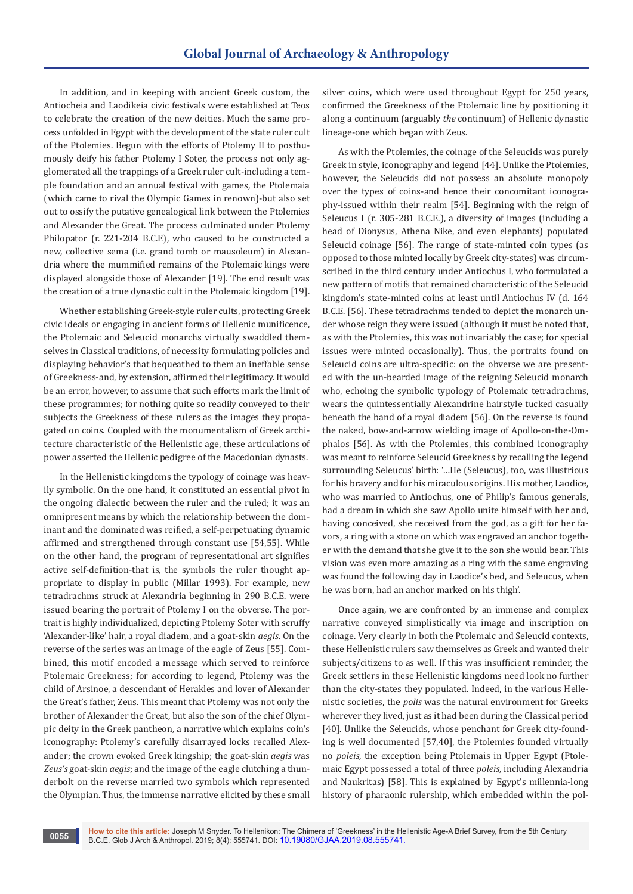In addition, and in keeping with ancient Greek custom, the Antiocheia and Laodikeia civic festivals were established at Teos to celebrate the creation of the new deities. Much the same process unfolded in Egypt with the development of the state ruler cult of the Ptolemies. Begun with the efforts of Ptolemy II to posthumously deify his father Ptolemy I Soter, the process not only agglomerated all the trappings of a Greek ruler cult-including a temple foundation and an annual festival with games, the Ptolemaia (which came to rival the Olympic Games in renown)-but also set out to ossify the putative genealogical link between the Ptolemies and Alexander the Great. The process culminated under Ptolemy Philopator (r. 221-204 B.C.E), who caused to be constructed a new, collective sema (i.e. grand tomb or mausoleum) in Alexandria where the mummified remains of the Ptolemaic kings were displayed alongside those of Alexander [19]. The end result was the creation of a true dynastic cult in the Ptolemaic kingdom [19].

Whether establishing Greek-style ruler cults, protecting Greek civic ideals or engaging in ancient forms of Hellenic munificence, the Ptolemaic and Seleucid monarchs virtually swaddled themselves in Classical traditions, of necessity formulating policies and displaying behavior's that bequeathed to them an ineffable sense of Greekness-and, by extension, affirmed their legitimacy. It would be an error, however, to assume that such efforts mark the limit of these programmes; for nothing quite so readily conveyed to their subjects the Greekness of these rulers as the images they propagated on coins. Coupled with the monumentalism of Greek architecture characteristic of the Hellenistic age, these articulations of power asserted the Hellenic pedigree of the Macedonian dynasts.

In the Hellenistic kingdoms the typology of coinage was heavily symbolic. On the one hand, it constituted an essential pivot in the ongoing dialectic between the ruler and the ruled; it was an omnipresent means by which the relationship between the dominant and the dominated was reified, a self-perpetuating dynamic affirmed and strengthened through constant use [54,55]. While on the other hand, the program of representational art signifies active self-definition-that is, the symbols the ruler thought appropriate to display in public (Millar 1993). For example, new tetradrachms struck at Alexandria beginning in 290 B.C.E. were issued bearing the portrait of Ptolemy I on the obverse. The portrait is highly individualized, depicting Ptolemy Soter with scruffy 'Alexander-like' hair, a royal diadem, and a goat-skin *aegis*. On the reverse of the series was an image of the eagle of Zeus [55]. Combined, this motif encoded a message which served to reinforce Ptolemaic Greekness; for according to legend, Ptolemy was the child of Arsinoe, a descendant of Herakles and lover of Alexander the Great's father, Zeus. This meant that Ptolemy was not only the brother of Alexander the Great, but also the son of the chief Olympic deity in the Greek pantheon, a narrative which explains coin's iconography: Ptolemy's carefully disarrayed locks recalled Alexander; the crown evoked Greek kingship; the goat-skin *aegis* was *Zeus's* goat-skin *aegis*; and the image of the eagle clutching a thunderbolt on the reverse married two symbols which represented the Olympian. Thus, the immense narrative elicited by these small

**0055**

silver coins, which were used throughout Egypt for 250 years, confirmed the Greekness of the Ptolemaic line by positioning it along a continuum (arguably *the* continuum) of Hellenic dynastic lineage-one which began with Zeus.

As with the Ptolemies, the coinage of the Seleucids was purely Greek in style, iconography and legend [44]. Unlike the Ptolemies, however, the Seleucids did not possess an absolute monopoly over the types of coins-and hence their concomitant iconography-issued within their realm [54]. Beginning with the reign of Seleucus I (r. 305-281 B.C.E.), a diversity of images (including a head of Dionysus, Athena Nike, and even elephants) populated Seleucid coinage [56]. The range of state-minted coin types (as opposed to those minted locally by Greek city-states) was circumscribed in the third century under Antiochus I, who formulated a new pattern of motifs that remained characteristic of the Seleucid kingdom's state-minted coins at least until Antiochus IV (d. 164 B.C.E. [56]. These tetradrachms tended to depict the monarch under whose reign they were issued (although it must be noted that, as with the Ptolemies, this was not invariably the case; for special issues were minted occasionally). Thus, the portraits found on Seleucid coins are ultra-specific: on the obverse we are presented with the un-bearded image of the reigning Seleucid monarch who, echoing the symbolic typology of Ptolemaic tetradrachms, wears the quintessentially Alexandrine hairstyle tucked casually beneath the band of a royal diadem [56]. On the reverse is found the naked, bow-and-arrow wielding image of Apollo-on-the-Omphalos [56]. As with the Ptolemies, this combined iconography was meant to reinforce Seleucid Greekness by recalling the legend surrounding Seleucus' birth: '…He (Seleucus), too, was illustrious for his bravery and for his miraculous origins. His mother, Laodice, who was married to Antiochus, one of Philip's famous generals, had a dream in which she saw Apollo unite himself with her and, having conceived, she received from the god, as a gift for her favors, a ring with a stone on which was engraved an anchor together with the demand that she give it to the son she would bear. This vision was even more amazing as a ring with the same engraving was found the following day in Laodice's bed, and Seleucus, when he was born, had an anchor marked on his thigh'.

Once again, we are confronted by an immense and complex narrative conveyed simplistically via image and inscription on coinage. Very clearly in both the Ptolemaic and Seleucid contexts, these Hellenistic rulers saw themselves as Greek and wanted their subjects/citizens to as well. If this was insufficient reminder, the Greek settlers in these Hellenistic kingdoms need look no further than the city-states they populated. Indeed, in the various Hellenistic societies, the *polis* was the natural environment for Greeks wherever they lived, just as it had been during the Classical period [40]. Unlike the Seleucids, whose penchant for Greek city-founding is well documented [57,40], the Ptolemies founded virtually no *poleis*, the exception being Ptolemais in Upper Egypt (Ptolemaic Egypt possessed a total of three *poleis*, including Alexandria and Naukritas) [58]. This is explained by Egypt's millennia-long history of pharaonic rulership, which embedded within the pol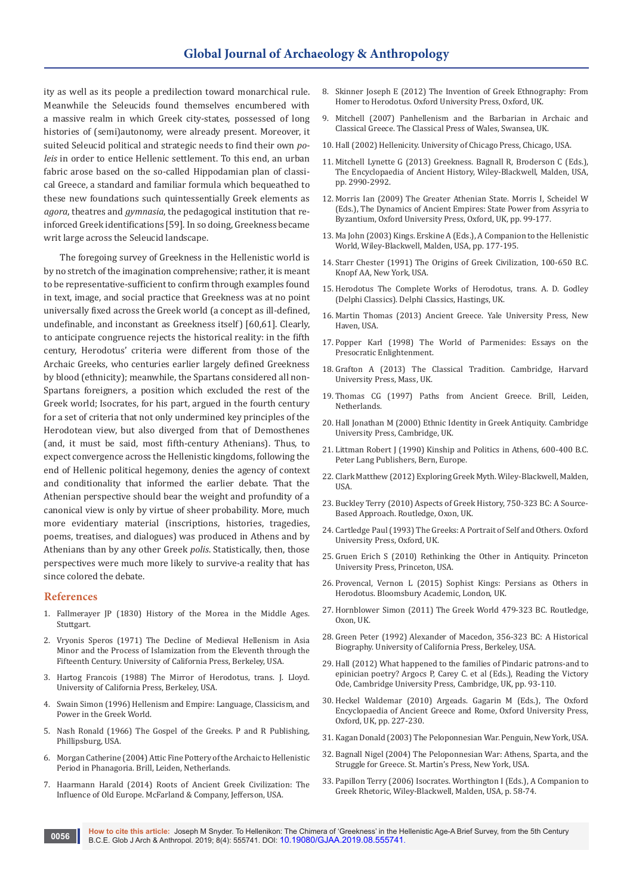ity as well as its people a predilection toward monarchical rule. Meanwhile the Seleucids found themselves encumbered with a massive realm in which Greek city-states, possessed of long histories of (semi)autonomy, were already present. Moreover, it suited Seleucid political and strategic needs to find their own *poleis* in order to entice Hellenic settlement. To this end, an urban fabric arose based on the so-called Hippodamian plan of classical Greece, a standard and familiar formula which bequeathed to these new foundations such quintessentially Greek elements as *agora*, theatres and *gymnasia*, the pedagogical institution that reinforced Greek identifications [59]. In so doing, Greekness became writ large across the Seleucid landscape.

The foregoing survey of Greekness in the Hellenistic world is by no stretch of the imagination comprehensive; rather, it is meant to be representative-sufficient to confirm through examples found in text, image, and social practice that Greekness was at no point universally fixed across the Greek world (a concept as ill-defined, undefinable, and inconstant as Greekness itself) [60,61]. Clearly, to anticipate congruence rejects the historical reality: in the fifth century, Herodotus' criteria were different from those of the Archaic Greeks, who centuries earlier largely defined Greekness by blood (ethnicity); meanwhile, the Spartans considered all non-Spartans foreigners, a position which excluded the rest of the Greek world; Isocrates, for his part, argued in the fourth century for a set of criteria that not only undermined key principles of the Herodotean view, but also diverged from that of Demosthenes (and, it must be said, most fifth-century Athenians). Thus, to expect convergence across the Hellenistic kingdoms, following the end of Hellenic political hegemony, denies the agency of context and conditionality that informed the earlier debate. That the Athenian perspective should bear the weight and profundity of a canonical view is only by virtue of sheer probability. More, much more evidentiary material (inscriptions, histories, tragedies, poems, treatises, and dialogues) was produced in Athens and by Athenians than by any other Greek *polis*. Statistically, then, those perspectives were much more likely to survive-a reality that has since colored the debate.

#### **References**

- 1. Fallmerayer JP (1830) History of the Morea in the Middle Ages. **Stuttgart**
- 2. Vryonis Speros (1971) The Decline of Medieval Hellenism in Asia Minor and the Process of Islamization from the Eleventh through the Fifteenth Century. University of California Press, Berkeley, USA.
- 3. Hartog Francois (1988) The Mirror of Herodotus, trans. J. Lloyd. University of California Press, Berkeley, USA.
- 4. Swain Simon (1996) Hellenism and Empire: Language, Classicism, and Power in the Greek World.
- 5. Nash Ronald (1966) The Gospel of the Greeks. P and R Publishing, Phillipsburg, USA.
- 6. Morgan Catherine (2004) Attic Fine Pottery of the Archaic to Hellenistic Period in Phanagoria. Brill, Leiden, Netherlands.
- 7. Haarmann Harald (2014) Roots of Ancient Greek Civilization: The Influence of Old Europe. McFarland & Company, Jefferson, USA.
- 8. Skinner Joseph E (2012) The Invention of Greek Ethnography: From Homer to Herodotus. Oxford University Press, Oxford, UK.
- 9. Mitchell (2007) Panhellenism and the Barbarian in Archaic and Classical Greece. The Classical Press of Wales, Swansea, UK.
- 10. Hall (2002) Hellenicity. University of Chicago Press, Chicago, USA.
- 11. Mitchell Lynette G (2013) Greekness. Bagnall R, Broderson C (Eds.), The Encyclopaedia of Ancient History, Wiley-Blackwell, Malden, USA, pp. 2990-2992.
- 12. Morris Ian (2009) The Greater Athenian State. Morris I, Scheidel W (Eds.), The Dynamics of Ancient Empires: State Power from Assyria to Byzantium, Oxford University Press, Oxford, UK, pp. 99-177.
- 13. Ma John (2003) Kings. Erskine A (Eds.), A Companion to the Hellenistic World, Wiley-Blackwell, Malden, USA, pp. 177-195.
- 14. Starr Chester (1991) The Origins of Greek Civilization, 100-650 B.C. Knopf AA, New York, USA.
- 15. Herodotus The Complete Works of Herodotus, trans. A. D. Godley (Delphi Classics). Delphi Classics, Hastings, UK.
- 16. Martin Thomas (2013) Ancient Greece. Yale University Press, New Haven, USA.
- 17. Popper Karl (1998) The World of Parmenides: Essays on the Presocratic Enlightenment.
- 18. Grafton A (2013) The Classical Tradition. Cambridge, Harvard University Press, Mass, UK.
- 19. Thomas CG (1997) Paths from Ancient Greece. Brill, Leiden, Netherlands.
- 20. Hall Jonathan M (2000) Ethnic Identity in Greek Antiquity. Cambridge University Press, Cambridge, UK.
- 21. Littman Robert J (1990) Kinship and Politics in Athens, 600-400 B.C. Peter Lang Publishers, Bern, Europe.
- 22. Clark Matthew (2012) Exploring Greek Myth. Wiley-Blackwell, Malden, **IISA**
- 23. Buckley Terry (2010) Aspects of Greek History, 750-323 BC: A Source-Based Approach. Routledge, Oxon, UK.
- 24. Cartledge Paul (1993) The Greeks: A Portrait of Self and Others. Oxford University Press, Oxford, UK.
- 25. Gruen Erich S (2010) Rethinking the Other in Antiquity. Princeton University Press, Princeton, USA.
- 26. Provencal, Vernon L (2015) Sophist Kings: Persians as Others in Herodotus. Bloomsbury Academic, London, UK.
- 27. Hornblower Simon (2011) The Greek World 479-323 BC. Routledge, Oxon, UK.
- 28. Green Peter (1992) Alexander of Macedon, 356-323 BC: A Historical Biography. University of California Press, Berkeley, USA.
- 29. Hall (2012) What happened to the families of Pindaric patrons-and to epinician poetry? Argocs P, Carey C. et al (Eds.), Reading the Victory Ode, Cambridge University Press, Cambridge, UK, pp. 93-110.
- 30. Heckel Waldemar (2010) Argeads. Gagarin M (Eds.), The Oxford Encyclopaedia of Ancient Greece and Rome, Oxford University Press, Oxford, UK, pp. 227-230.
- 31. Kagan Donald (2003) The Peloponnesian War. Penguin, New York, USA.
- 32. Bagnall Nigel (2004) The Peloponnesian War: Athens, Sparta, and the Struggle for Greece. St. Martin's Press, New York, USA.
- 33. Papillon Terry (2006) Isocrates. Worthington I (Eds.), A Companion to Greek Rhetoric, Wiley-Blackwell, Malden, USA, p. 58-74.